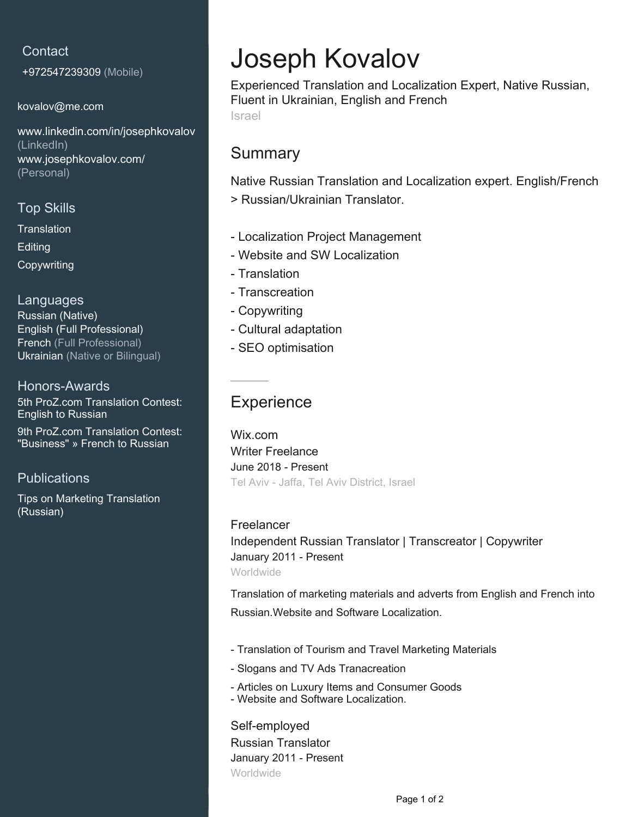#### **Contact**

+972547239309 (Mobile)

[kovalov@me.com](mailto:kovalov@me.com)

[www.linkedin.com/in/josephkovalov](https://www.linkedin.com/in/josephkovalov?jobid=1234&lipi=urn%3Ali%3Apage%3Ad_jobs_easyapply_pdfgenresume%3Bt2M1AZMRRpasV1cBwAsObw%3D%3D&licu=urn%3Ali%3Acontrol%3Ad_jobs_easyapply_pdfgenresume-v02_profile) [\(LinkedIn\)](https://www.linkedin.com/in/josephkovalov?jobid=1234&lipi=urn%3Ali%3Apage%3Ad_jobs_easyapply_pdfgenresume%3Bt2M1AZMRRpasV1cBwAsObw%3D%3D&licu=urn%3Ali%3Acontrol%3Ad_jobs_easyapply_pdfgenresume-v02_profile) [www.josephkovalov.com/](http://www.josephkovalov.com/) [\(Personal\)](http://www.josephkovalov.com/)

#### Top Skills

**Translation Editing** Copywriting

Languages Russian (Native) English (Full Professional) French (Full Professional) Ukrainian (Native or Bilingual)

Honors-Awards 5th ProZ.com Translation Contest: English to Russian

9th ProZ.com Translation Contest: "Business" » French to Russian

**Publications** 

Tips on Marketing Translation (Russian)

# Joseph Kovalov

Experienced Translation and Localization Expert, Native Russian, Fluent in Ukrainian, English and French Israel

### Summary

Native Russian Translation and Localization expert. English/French > Russian/Ukrainian Translator.

- Localization Project Management
- Website and SW Localization
- Translation
- Transcreation
- Copywriting
- Cultural adaptation
- SEO optimisation

## **Experience**

Wix.com Writer Freelance June 2018 - Present Tel Aviv - Jaffa, Tel Aviv District, Israel

Freelancer Independent Russian Translator | Transcreator | Copywriter January 2011 - Present Worldwide

Translation of marketing materials and adverts from English and French into Russian.Website and Software Localization.

- Translation of Tourism and Travel Marketing Materials
- Slogans and TV Ads Tranacreation
- Articles on Luxury Items and Consumer Goods
- Website and Software Localization.

Self-employed Russian Translator January 2011 - Present Worldwide